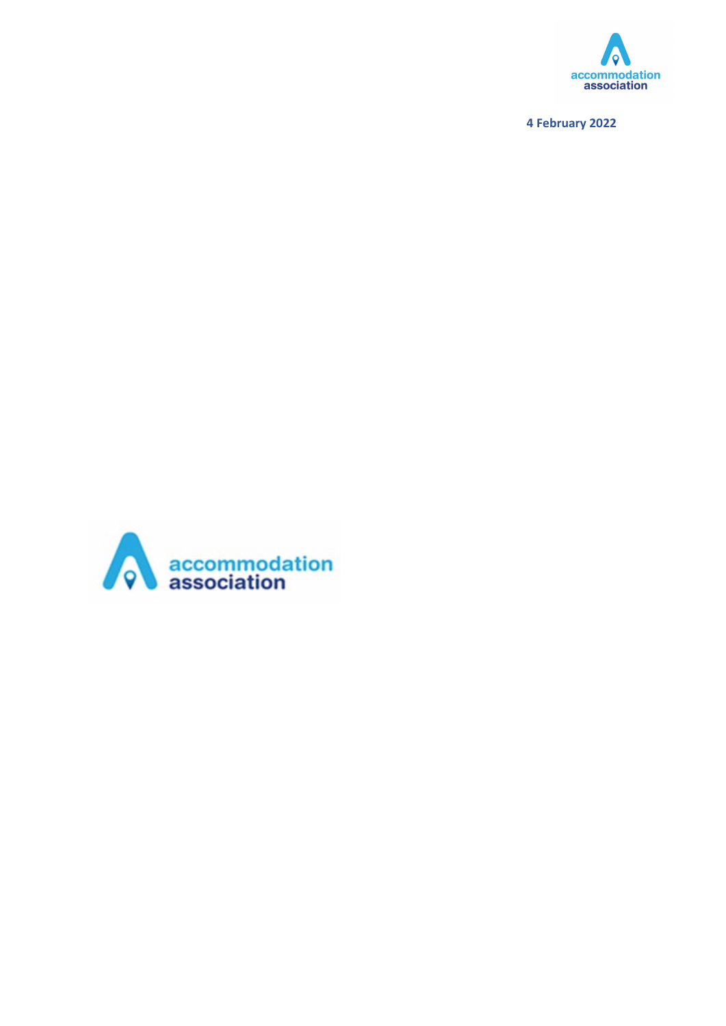

**February 2022**

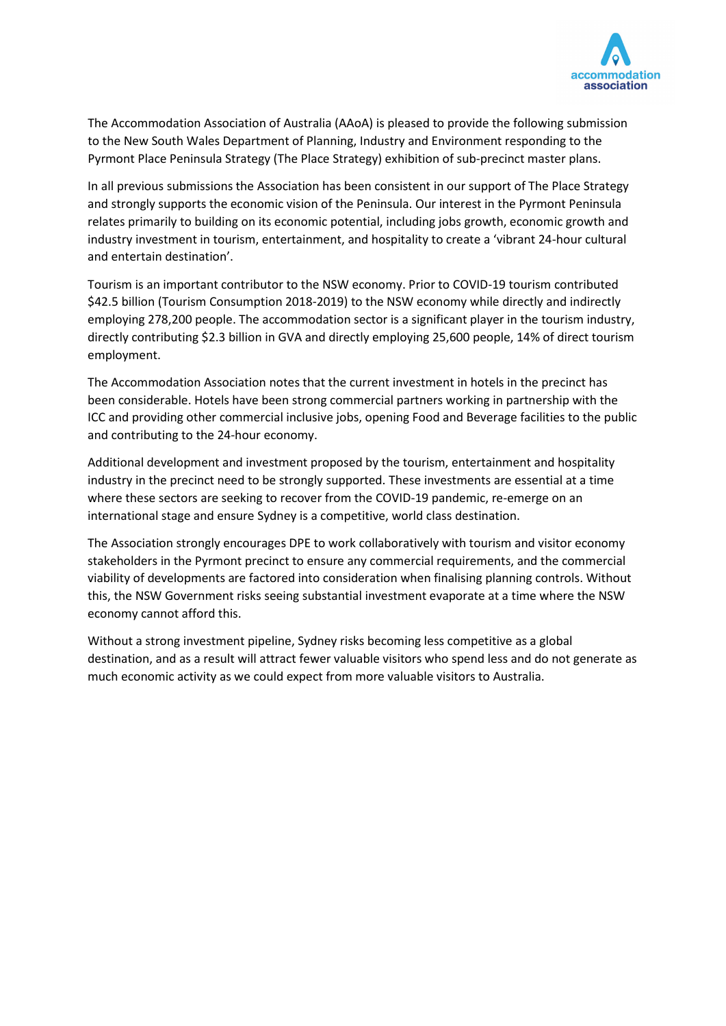

The Accommodation Association of Australia (AAoA) is pleased to provide the following submission to the New South Wales Department of Planning, Industry and Environment responding to the Pyrmont Place Peninsula Strategy (The Place Strategy) exhibition of sub-precinct master plans.

In all previous submissions the Association has been consistent in our support of The Place Strategy and strongly supports the economic vision of the Peninsula. Our interest in the Pyrmont Peninsula relates primarily to building on its economic potential, including jobs growth, economic growth and industry investment in tourism, entertainment, and hospitality to create a 'vibrant 24-hour cultural and entertain destination'.

Tourism is an important contributor to the NSW economy. Prior to COVID-19 tourism contributed \$42.5 billion (Tourism Consumption 2018-2019) to the NSW economy while directly and indirectly employing 278,200 people. The accommodation sector is a significant player in the tourism industry, directly contributing \$2.3 billion in GVA and directly employing 25,600 people, 14% of direct tourism employment.

The Accommodation Association notes that the current investment in hotels in the precinct has been considerable. Hotels have been strong commercial partners working in partnership with the ICC and providing other commercial inclusive jobs, opening Food and Beverage facilities to the public and contributing to the 24-hour economy.

Additional development and investment proposed by the tourism, entertainment and hospitality industry in the precinct need to be strongly supported. These investments are essential at a time where these sectors are seeking to recover from the COVID-19 pandemic, re-emerge on an international stage and ensure Sydney is a competitive, world class destination.

The Association strongly encourages DPE to work collaboratively with tourism and visitor economy stakeholders in the Pyrmont precinct to ensure any commercial requirements, and the commercial viability of developments are factored into consideration when finalising planning controls. Without this, the NSW Government risks seeing substantial investment evaporate at a time where the NSW economy cannot afford this.

Without a strong investment pipeline, Sydney risks becoming less competitive as a global destination, and as a result will attract fewer valuable visitors who spend less and do not generate as much economic activity as we could expect from more valuable visitors to Australia.